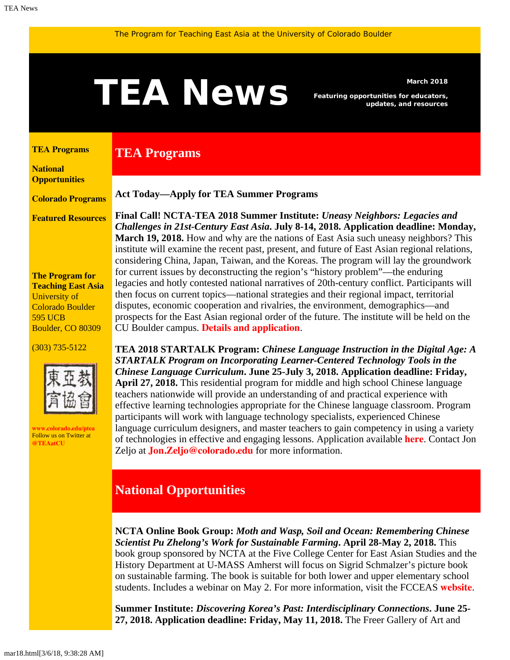# <span id="page-0-1"></span>March 2018<br>**TEAN EWS** Featuring opportunities for educators,<br>updates, and resources

**TEA Programs**

*Featuring opportunities for educators, updates, and resources*

#### <span id="page-0-0"></span>**[TEA Programs](#page-0-0)**

**[National](#page-0-1)  [Opportunities](#page-0-1)**

**[Colorado Programs](#page-0-1)**

**[Featured Resources](#page-3-0)**

**The Program for Teaching East Asia** University of Colorado Boulder 595 UCB Boulder, CO 80309

(303) 735-5122



**[www.colorado.edu/ptea](http://www.colorado.edu/cas/tea)** Follow us on Twitter at **[@TEAatCU](https://twitter.com/TEAatCU)**

**Act Today—Apply for TEA Summer Programs**

**Final Call! NCTA-TEA 2018 Summer Institute:** *Uneasy Neighbors: Legacies and Challenges in 21st-Century East Asia***. July 8-14, 2018. Application deadline: Monday, March 19, 2018.** How and why are the nations of East Asia such uneasy neighbors? This institute will examine the recent past, present, and future of East Asian regional relations, considering China, Japan, Taiwan, and the Koreas. The program will lay the groundwork for current issues by deconstructing the region's "history problem"—the enduring legacies and hotly contested national narratives of 20th-century conflict. Participants will then focus on current topics—national strategies and their regional impact, territorial disputes, economic cooperation and rivalries, the environment, demographics—and prospects for the East Asian regional order of the future. The institute will be held on the CU Boulder campus. **[Details and application](https://www.colorado.edu/ptea/sites/default/files/attached-files/east_asia_institute_2018_app.pdf)**.

**TEA 2018 STARTALK Program:** *Chinese Language Instruction in the Digital Age: A STARTALK Program on Incorporating Learner-Centered Technology Tools in the Chinese Language Curriculum***. June 25-July 3, 2018. Application deadline: Friday, April 27, 2018.** This residential program for middle and high school Chinese language teachers nationwide will provide an understanding of and practical experience with effective learning technologies appropriate for the Chinese language classroom. Program participants will work with language technology specialists, experienced Chinese language curriculum designers, and master teachers to gain competency in using a variety of technologies in effective and engaging lessons. Application available **[here](https://www.colorado.edu/ptea/sites/default/files/attached-files/startalk_application_2018.pdf)**. Contact Jon Zeljo at **[Jon.Zeljo@colorado.edu](mailto:Jon.Zeljo@colorado.edu)** for more information.

## **National Opportunities**

**NCTA Online Book Group:** *Moth and Wasp, Soil and Ocean: Remembering Chinese Scientist Pu Zhelong's Work for Sustainable Farming***. April 28-May 2, 2018.** This book group sponsored by NCTA at the Five College Center for East Asian Studies and the History Department at U-MASS Amherst will focus on Sigrid Schmalzer's picture book on sustainable farming. The book is suitable for both lower and upper elementary school students. Includes a webinar on May 2. For more information, visit the FCCEAS **[website](https://www.fivecolleges.edu/fcceas/moth-wasp)**.

**Summer Institute:** *Discovering Korea's Past: Interdisciplinary Connections***. June 25- 27, 2018. Application deadline: Friday, May 11, 2018.** The Freer Gallery of Art and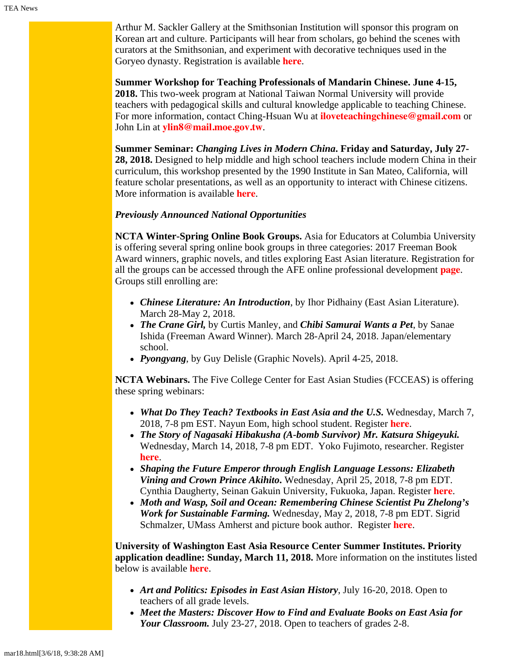Arthur M. Sackler Gallery at the Smithsonian Institution will sponsor this program on Korean art and culture. Participants will hear from scholars, go behind the scenes with curators at the Smithsonian, and experiment with decorative techniques used in the Goryeo dynasty. Registration is available **[here](https://www.eventbrite.com/e/discovering-koreas-past-summer-institute-interdisciplinary-connections-tickets-42289508057)**.

**Summer Workshop for Teaching Professionals of Mandarin Chinese. June 4-15, 2018.** This two-week program at National Taiwan Normal University will provide teachers with pedagogical skills and cultural knowledge applicable to teaching Chinese. For more information, contact Ching-Hsuan Wu at **[iloveteachingchinese@gmail.com](mailto:iloveteachingchinese@gmail.com)** or John Lin at **[ylin8@mail.moe.gov.tw](mailto:ylin8@mail.moe.gov.tw)**.

**Summer Seminar:** *Changing Lives in Modern China***. Friday and Saturday, July 27- 28, 2018.** Designed to help middle and high school teachers include modern China in their curriculum, this workshop presented by the 1990 Institute in San Mateo, California, will feature scholar presentations, as well as an opportunity to interact with Chinese citizens. More information is available **[here](http://teachers.1990institute.org/2018-tw/)**.

#### *Previously Announced National Opportunities*

**NCTA Winter-Spring Online Book Groups.** Asia for Educators at Columbia University is offering several spring online book groups in three categories: 2017 Freeman Book Award winners, graphic novels, and titles exploring East Asian literature. Registration for all the groups can be accessed through the AFE online professional development **[page](http://afe.easia.columbia.edu/online_course/)**. Groups still enrolling are:

- *Chinese Literature: An Introduction*, by Ihor Pidhainy (East Asian Literature). March 28-May 2, 2018.
- *The Crane Girl,* by Curtis Manley, and *Chibi Samurai Wants a Pet*, by Sanae Ishida (Freeman Award Winner). March 28-April 24, 2018. Japan/elementary school.
- *Pyongyang*, by Guy Delisle (Graphic Novels). April 4-25, 2018.

**NCTA Webinars.** The Five College Center for East Asian Studies (FCCEAS) is offering these spring webinars:

- *What Do They Teach? Textbooks in East Asia and the U.S.* Wednesday, March 7, 2018, 7-8 pm EST. Nayun Eom, high school student. Register **[here](https://register.gotowebinar.com/register/3002316942685918979)**.
- *The Story of Nagasaki Hibakusha (A-bomb Survivor) Mr. Katsura Shigeyuki.* Wednesday, March 14, 2018, 7-8 pm EDT. Yoko Fujimoto, researcher. Register **[here](https://attendee.gotowebinar.com/register/6601924498665750019)**.
- *Shaping the Future Emperor through English Language Lessons: Elizabeth Vining and Crown Prince Akihito***.** Wednesday, April 25, 2018, 7-8 pm EDT. Cynthia Daugherty, Seinan Gakuin University, Fukuoka, Japan. Register **[here](https://attendee.gotowebinar.com/register/6452279866613730819)**.
- *Moth and Wasp, Soil and Ocean: Remembering Chinese Scientist Pu Zhelong's Work for Sustainable Farming.* Wednesday, May 2, 2018, 7-8 pm EDT. Sigrid Schmalzer, UMass Amherst and picture book author. Register **[here](https://attendee.gotowebinar.com/register/1637737251396678659)**.

**University of Washington East Asia Resource Center Summer Institutes. Priority application deadline: Sunday, March 11, 2018.** More information on the institutes listed below is available **[here](https://jsis.washington.edu/earc/category/programs/summer-institutes/)**.

- *Art and Politics: Episodes in East Asian History*, July 16-20, 2018. Open to teachers of all grade levels.
- *Meet the Masters: Discover How to Find and Evaluate Books on East Asia for Your Classroom.* July 23-27, 2018. Open to teachers of grades 2-8.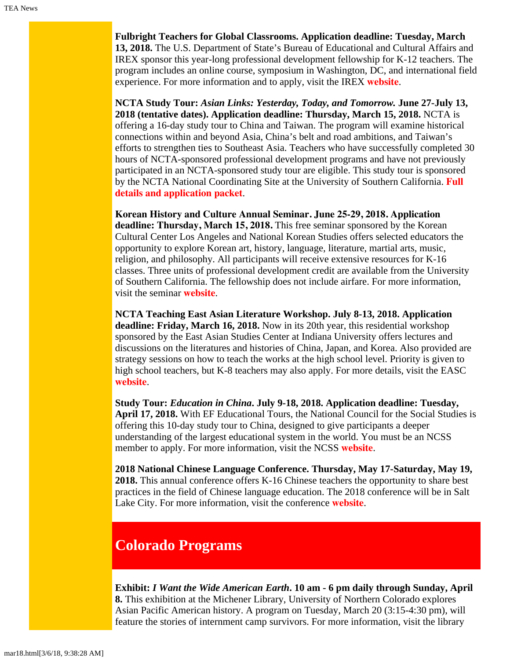**Fulbright Teachers for Global Classrooms. Application deadline: Tuesday, March 13, 2018.** The U.S. Department of State's Bureau of Educational and Cultural Affairs and IREX sponsor this year-long professional development fellowship for K-12 teachers. The program includes an online course, symposium in Washington, DC, and international field experience. For more information and to apply, visit the IREX **[website](https://www.irex.org/project/teachers-global-classrooms-program-tgc)**.

**NCTA Study Tour:** *Asian Links: Yesterday, Today, and Tomorrow.* **June 27-July 13, 2018 (tentative dates). Application deadline: Thursday, March 15, 2018.** NCTA is offering a 16-day study tour to China and Taiwan. The program will examine historical connections within and beyond Asia, China's belt and road ambitions, and Taiwan's efforts to strengthen ties to Southeast Asia. Teachers who have successfully completed 30 hours of NCTA-sponsored professional development programs and have not previously participated in an NCTA-sponsored study tour are eligible. This study tour is sponsored by the NCTA National Coordinating Site at the University of Southern California. **[Full](http://china.usc.edu/seminars/2018-ncta-summer-study-tour-china-and-taiwan) [details and application packet](http://china.usc.edu/seminars/2018-ncta-summer-study-tour-china-and-taiwan)**.

**Korean History and Culture Annual Seminar. June 25-29, 2018. Application deadline: Thursday, March 15, 2018.** This free seminar sponsored by the Korean Cultural Center Los Angeles and National Korean Studies offers selected educators the opportunity to explore Korean art, history, language, literature, martial arts, music, religion, and philosophy. All participants will receive extensive resources for K-16 classes. Three units of professional development credit are available from the University of Southern California. The fellowship does not include airfare. For more information, visit the seminar **[website](https://nationalkoreanstudies.com/)**.

**NCTA Teaching East Asian Literature Workshop. July 8-13, 2018. Application deadline: Friday, March 16, 2018.** Now in its 20th year, this residential workshop sponsored by the East Asian Studies Center at Indiana University offers lectures and discussions on the literatures and histories of China, Japan, and Korea. Also provided are strategy sessions on how to teach the works at the high school level. Priority is given to high school teachers, but K-8 teachers may also apply. For more details, visit the EASC **[website](http://www.indiana.edu/~easc/outreach/educators/literature/index.shtml)**.

**Study Tour:** *Education in China***. July 9-18, 2018. Application deadline: Tuesday, April 17, 2018.** With EF Educational Tours, the National Council for the Social Studies is offering this 10-day study tour to China, designed to give participants a deeper understanding of the largest educational system in the world. You must be an NCSS member to apply. For more information, visit the NCSS **[website](http://www.socialstudies.org/professional-learning/tours)**.

**2018 National Chinese Language Conference. Thursday, May 17-Saturday, May 19, 2018.** This annual conference offers K-16 Chinese teachers the opportunity to share best practices in the field of Chinese language education. The 2018 conference will be in Salt Lake City. For more information, visit the conference **[website](https://asiasociety.org/national-chinese-language-conference)**.

# **Colorado Programs**

**Exhibit:** *I Want the Wide American Earth***. 10 am - 6 pm daily through Sunday, April 8.** This exhibition at the Michener Library, University of Northern Colorado explores Asian Pacific American history. A program on Tuesday, March 20 (3:15-4:30 pm), will feature the stories of internment camp survivors. For more information, visit the library